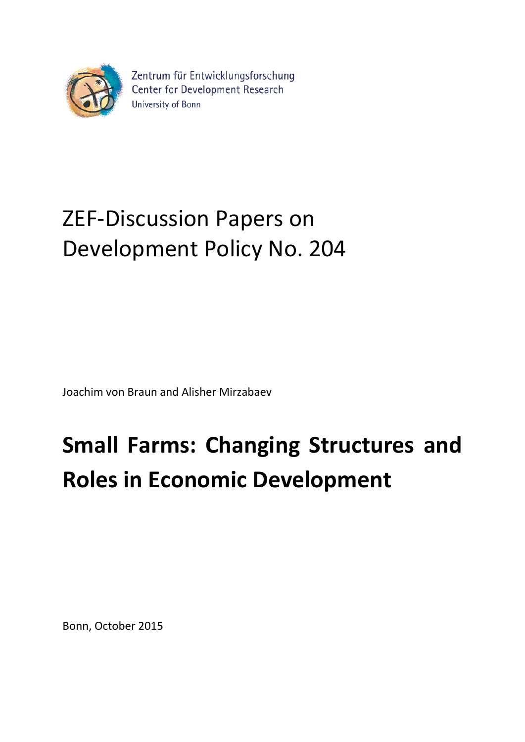

Zentrum für Entwicklungsforschung Center for Development Research University of Bonn

# ZEF-Discussion Papers on Development Policy No. 204

Joachim von Braun and Alisher Mirzabaev

# **Small Farms: Changing Structures and Roles in Economic Development**

Bonn, October 2015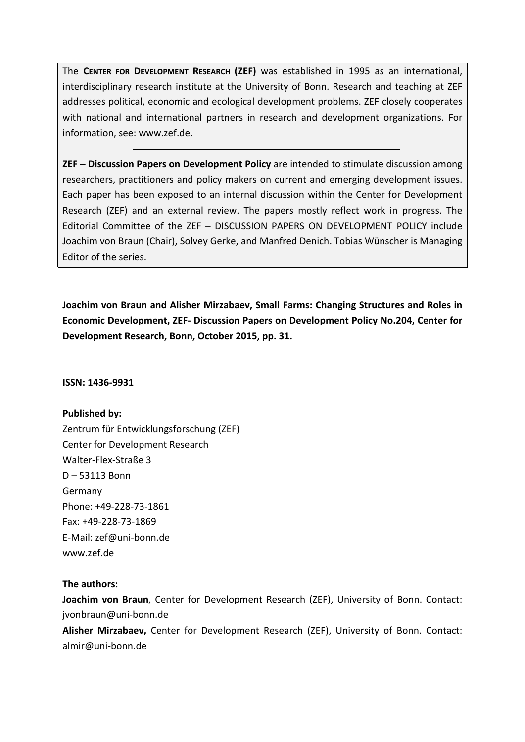The **CENTER FOR DEVELOPMENT RESEARCH (ZEF)** was established in 1995 as an international, interdisciplinary research institute at the University of Bonn. Research and teaching at ZEF addresses political, economic and ecological development problems. ZEF closely cooperates with national and international partners in research and development organizations. For information, see: www.zef.de.

**ZEF – Discussion Papers on Development Policy** are intended to stimulate discussion among researchers, practitioners and policy makers on current and emerging development issues. Each paper has been exposed to an internal discussion within the Center for Development Research (ZEF) and an external review. The papers mostly reflect work in progress. The Editorial Committee of the ZEF – DISCUSSION PAPERS ON DEVELOPMENT POLICY include Joachim von Braun (Chair), Solvey Gerke, and Manfred Denich. Tobias Wünscher is Managing Editor of the series.

**Joachim von Braun and Alisher Mirzabaev, Small Farms: Changing Structures and Roles in Economic Development, ZEF- Discussion Papers on Development Policy No.204, Center for Development Research, Bonn, October 2015, pp. 31.**

**ISSN: 1436-9931**

#### **Published by:**

Zentrum für Entwicklungsforschung (ZEF) Center for Development Research Walter-Flex-Straße 3 D – 53113 Bonn Germany Phone: +49-228-73-1861 Fax: +49-228-73-1869 E-Mail: zef@uni-bonn.de www.zef.de

### **The authors:**

**Joachim von Braun**, Center for Development Research (ZEF), University of Bonn. Contact: jvonbraun@uni-bonn.de

**Alisher Mirzabaev,** Center for Development Research (ZEF), University of Bonn. Contact: almir@uni-bonn.de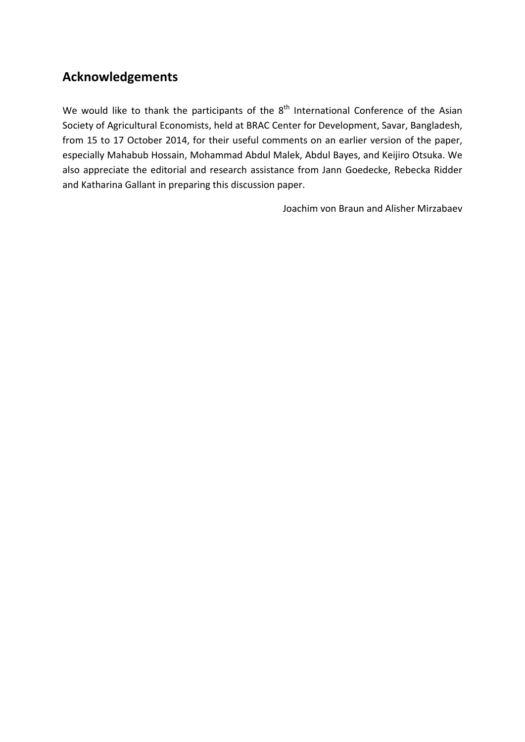# **Acknowledgements**

We would like to thank the participants of the  $8<sup>th</sup>$  International Conference of the Asian Society of Agricultural Economists, held at BRAC Center for Development, Savar, Bangladesh, from 15 to 17 October 2014, for their useful comments on an earlier version of the paper, especially Mahabub Hossain, Mohammad Abdul Malek, Abdul Bayes, and Keijiro Otsuka. We also appreciate the editorial and research assistance from Jann Goedecke, Rebecka Ridder and Katharina Gallant in preparing this discussion paper.

Joachim von Braun and Alisher Mirzabaev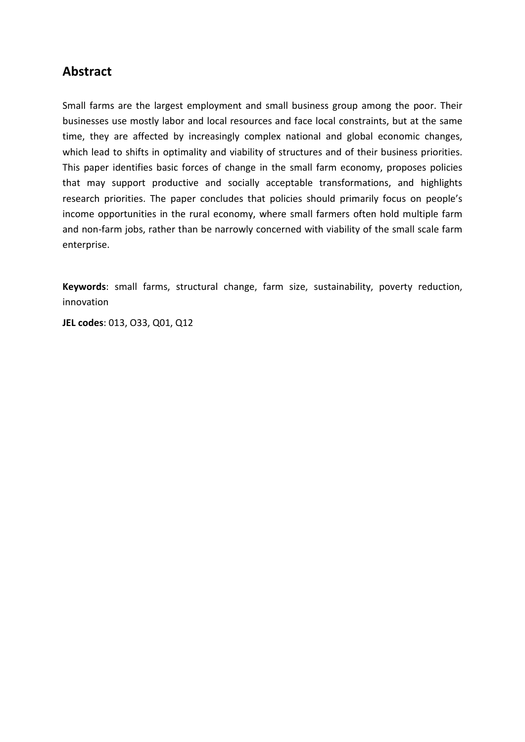### **Abstract**

Small farms are the largest employment and small business group among the poor. Their businesses use mostly labor and local resources and face local constraints, but at the same time, they are affected by increasingly complex national and global economic changes, which lead to shifts in optimality and viability of structures and of their business priorities. This paper identifies basic forces of change in the small farm economy, proposes policies that may support productive and socially acceptable transformations, and highlights research priorities. The paper concludes that policies should primarily focus on people's income opportunities in the rural economy, where small farmers often hold multiple farm and non-farm jobs, rather than be narrowly concerned with viability of the small scale farm enterprise.

**Keywords**: small farms, structural change, farm size, sustainability, poverty reduction, innovation

**JEL codes**: 013, O33, Q01, Q12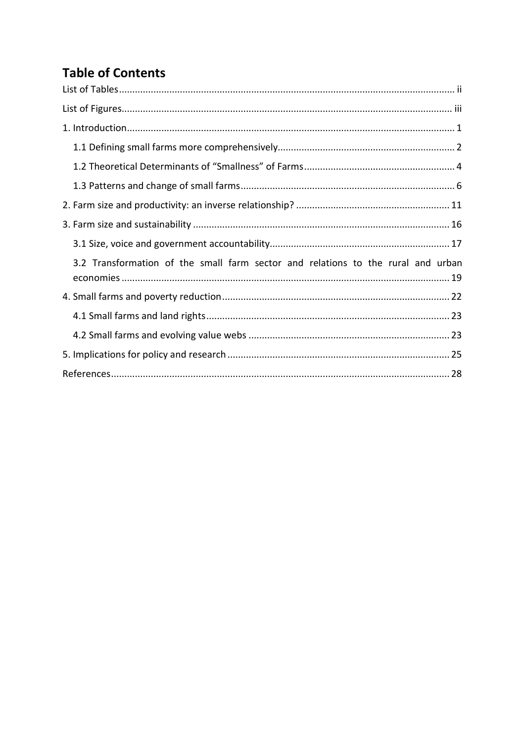# **Table of Contents**

| 3.2 Transformation of the small farm sector and relations to the rural and urban |  |
|----------------------------------------------------------------------------------|--|
|                                                                                  |  |
|                                                                                  |  |
|                                                                                  |  |
|                                                                                  |  |
|                                                                                  |  |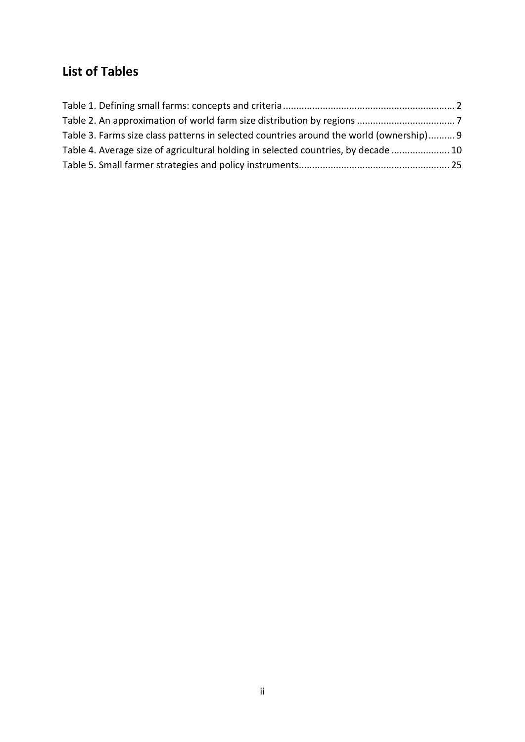# <span id="page-5-0"></span>**List of Tables**

| Table 3. Farms size class patterns in selected countries around the world (ownership) 9 |  |
|-----------------------------------------------------------------------------------------|--|
| Table 4. Average size of agricultural holding in selected countries, by decade  10      |  |
|                                                                                         |  |
|                                                                                         |  |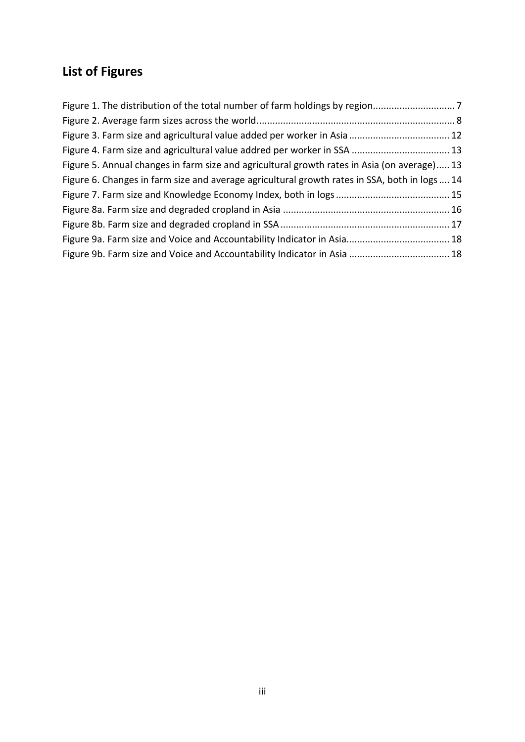# <span id="page-6-0"></span>**List of Figures**

| Figure 5. Annual changes in farm size and agricultural growth rates in Asia (on average) 13  |  |
|----------------------------------------------------------------------------------------------|--|
| Figure 6. Changes in farm size and average agricultural growth rates in SSA, both in logs 14 |  |
|                                                                                              |  |
|                                                                                              |  |
|                                                                                              |  |
|                                                                                              |  |
|                                                                                              |  |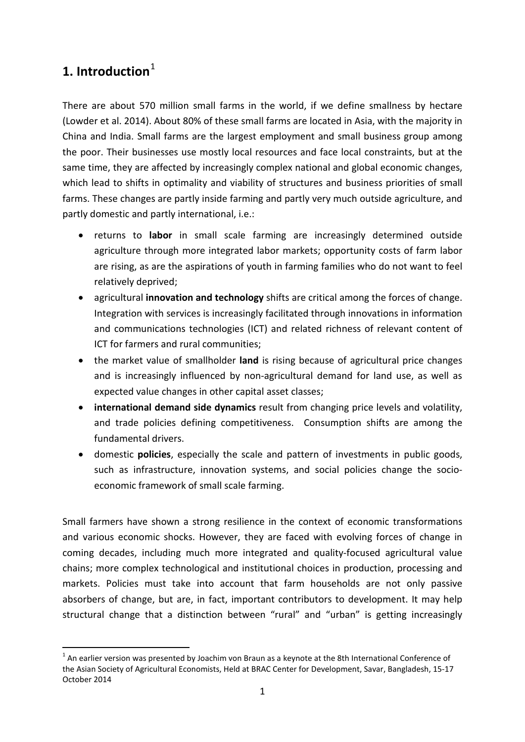# <span id="page-7-0"></span>**[1](#page-7-1).** Introduction<sup>1</sup>

There are about 570 million small farms in the world, if we define smallness by hectare (Lowder et al. 2014). About 80% of these small farms are located in Asia, with the majority in China and India. Small farms are the largest employment and small business group among the poor. Their businesses use mostly local resources and face local constraints, but at the same time, they are affected by increasingly complex national and global economic changes, which lead to shifts in optimality and viability of structures and business priorities of small farms. These changes are partly inside farming and partly very much outside agriculture, and partly domestic and partly international, i.e.:

- returns to **labor** in small scale farming are increasingly determined outside agriculture through more integrated labor markets; opportunity costs of farm labor are rising, as are the aspirations of youth in farming families who do not want to feel relatively deprived;
- agricultural **innovation and technology** shifts are critical among the forces of change. Integration with services is increasingly facilitated through innovations in information and communications technologies (ICT) and related richness of relevant content of ICT for farmers and rural communities;
- the market value of smallholder **land** is rising because of agricultural price changes and is increasingly influenced by non-agricultural demand for land use, as well as expected value changes in other capital asset classes;
- **international demand side dynamics** result from changing price levels and volatility, and trade policies defining competitiveness. Consumption shifts are among the fundamental drivers.
- domestic **policies**, especially the scale and pattern of investments in public goods, such as infrastructure, innovation systems, and social policies change the socioeconomic framework of small scale farming.

Small farmers have shown a strong resilience in the context of economic transformations and various economic shocks. However, they are faced with evolving forces of change in coming decades, including much more integrated and quality-focused agricultural value chains; more complex technological and institutional choices in production, processing and markets. Policies must take into account that farm households are not only passive absorbers of change, but are, in fact, important contributors to development. It may help structural change that a distinction between "rural" and "urban" is getting increasingly

<span id="page-7-1"></span> $1$  An earlier version was presented by Joachim von Braun as a keynote at the 8th International Conference of the Asian Society of Agricultural Economists, Held at BRAC Center for Development, Savar, Bangladesh, 15-17 October 2014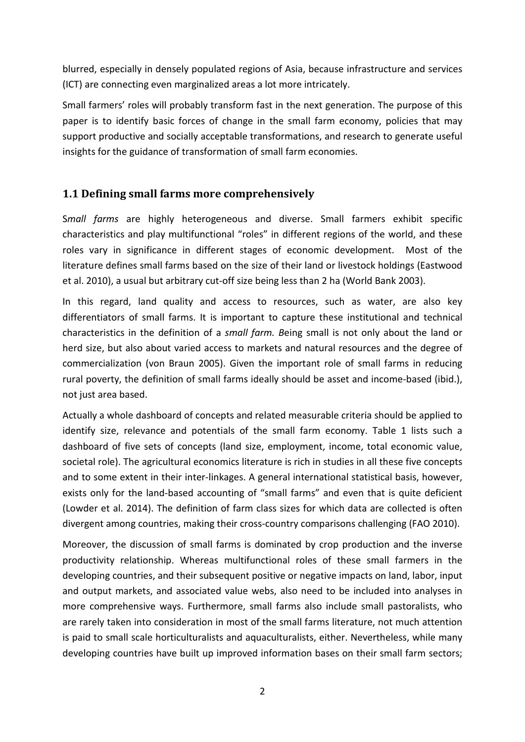blurred, especially in densely populated regions of Asia, because infrastructure and services (ICT) are connecting even marginalized areas a lot more intricately.

Small farmers' roles will probably transform fast in the next generation. The purpose of this paper is to identify basic forces of change in the small farm economy, policies that may support productive and socially acceptable transformations, and research to generate useful insights for the guidance of transformation of small farm economies.

### <span id="page-8-0"></span>**1.1 Defining small farms more comprehensively**

S*mall farms* are highly heterogeneous and diverse. Small farmers exhibit specific characteristics and play multifunctional "roles" in different regions of the world, and these roles vary in significance in different stages of economic development. Most of the literature defines small farms based on the size of their land or livestock holdings (Eastwood et al. 2010), a usual but arbitrary cut-off size being less than 2 ha (World Bank 2003).

<span id="page-8-1"></span>In this regard, land quality and access to resources, such as water, are also key differentiators of small farms. It is important to capture these institutional and technical characteristics in the definition of a *small farm. B*eing small is not only about the land or herd size, but also about varied access to markets and natural resources and the degree of commercialization (von Braun 2005). Given the important role of small farms in reducing rural poverty, the definition of small farms ideally should be asset and income-based (ibid.), not just area based.

Actually a whole dashboard of concepts and related measurable criteria should be applied to identify size, relevance and potentials of the small farm economy. Table 1 lists such a dashboard of five sets of concepts (land size, employment, income, total economic value, societal role). The agricultural economics literature is rich in studies in all these five concepts and to some extent in their inter-linkages. A general international statistical basis, however, exists only for the land-based accounting of "small farms" and even that is quite deficient (Lowder et al. 2014). The definition of farm class sizes for which data are collected is often divergent among countries, making their cross-country comparisons challenging (FAO 2010).

Moreover, the discussion of small farms is dominated by crop production and the inverse productivity relationship. Whereas multifunctional roles of these small farmers in the developing countries, and their subsequent positive or negative impacts on land, labor, input and output markets, and associated value webs, also need to be included into analyses in more comprehensive ways. Furthermore, small farms also include small pastoralists, who are rarely taken into consideration in most of the small farms literature, not much attention is paid to small scale horticulturalists and aquaculturalists, either. Nevertheless, while many developing countries have built up improved information bases on their small farm sectors;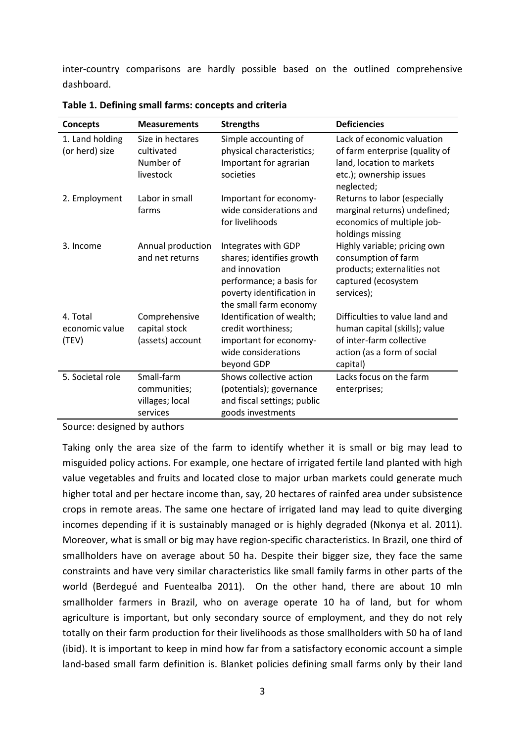inter-country comparisons are hardly possible based on the outlined comprehensive dashboard.

| <b>Concepts</b>                   | <b>Measurements</b>                                      | <b>Strengths</b>                                                                                                                                      | <b>Deficiencies</b>                                                                                                                |
|-----------------------------------|----------------------------------------------------------|-------------------------------------------------------------------------------------------------------------------------------------------------------|------------------------------------------------------------------------------------------------------------------------------------|
| 1. Land holding<br>(or herd) size | Size in hectares<br>cultivated<br>Number of<br>livestock | Simple accounting of<br>physical characteristics;<br>Important for agrarian<br>societies                                                              | Lack of economic valuation<br>of farm enterprise (quality of<br>land, location to markets<br>etc.); ownership issues<br>neglected; |
| 2. Employment                     | Labor in small<br>farms                                  | Important for economy-<br>wide considerations and<br>for livelihoods                                                                                  | Returns to labor (especially<br>marginal returns) undefined;<br>economics of multiple job-<br>holdings missing                     |
| 3. Income                         | Annual production<br>and net returns                     | Integrates with GDP<br>shares; identifies growth<br>and innovation<br>performance; a basis for<br>poverty identification in<br>the small farm economy | Highly variable; pricing own<br>consumption of farm<br>products; externalities not<br>captured (ecosystem<br>services);            |
| 4. Total<br>economic value        | Comprehensive                                            | Identification of wealth;                                                                                                                             | Difficulties to value land and                                                                                                     |
| (TEV)                             | capital stock<br>(assets) account                        | credit worthiness;<br>important for economy-<br>wide considerations<br>beyond GDP                                                                     | human capital (skills); value<br>of inter-farm collective<br>action (as a form of social<br>capital)                               |
| 5. Societal role                  | Small-farm                                               | Shows collective action                                                                                                                               | Lacks focus on the farm                                                                                                            |
|                                   | communities;                                             | (potentials); governance                                                                                                                              | enterprises;                                                                                                                       |
|                                   | villages; local<br>services                              | and fiscal settings; public<br>goods investments                                                                                                      |                                                                                                                                    |
|                                   |                                                          |                                                                                                                                                       |                                                                                                                                    |

**Table 1. Defining small farms: concepts and criteria**

Source: designed by authors

Taking only the area size of the farm to identify whether it is small or big may lead to misguided policy actions. For example, one hectare of irrigated fertile land planted with high value vegetables and fruits and located close to major urban markets could generate much higher total and per hectare income than, say, 20 hectares of rainfed area under subsistence crops in remote areas. The same one hectare of irrigated land may lead to quite diverging incomes depending if it is sustainably managed or is highly degraded (Nkonya et al. 2011). Moreover, what is small or big may have region-specific characteristics. In Brazil, one third of smallholders have on average about 50 ha. Despite their bigger size, they face the same constraints and have very similar characteristics like small family farms in other parts of the world (Berdegué and Fuentealba 2011). On the other hand, there are about 10 mln smallholder farmers in Brazil, who on average operate 10 ha of land, but for whom agriculture is important, but only secondary source of employment, and they do not rely totally on their farm production for their livelihoods as those smallholders with 50 ha of land (ibid). It is important to keep in mind how far from a satisfactory economic account a simple land-based small farm definition is. Blanket policies defining small farms only by their land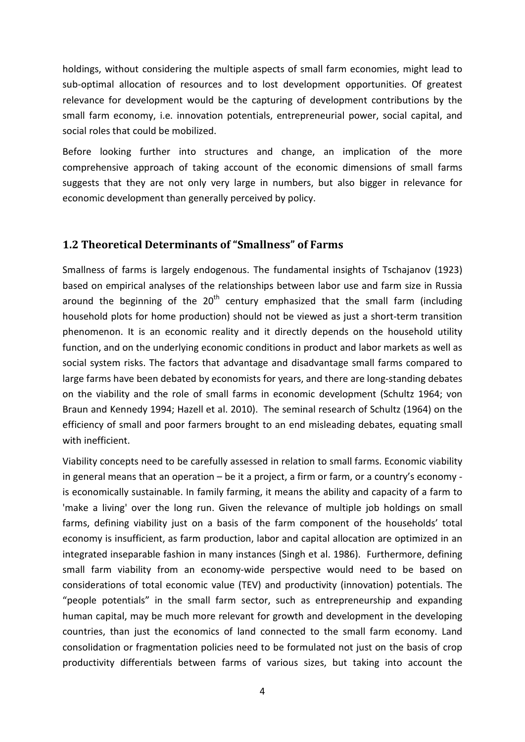holdings, without considering the multiple aspects of small farm economies, might lead to sub-optimal allocation of resources and to lost development opportunities. Of greatest relevance for development would be the capturing of development contributions by the small farm economy, i.e. innovation potentials, entrepreneurial power, social capital, and social roles that could be mobilized.

Before looking further into structures and change, an implication of the more comprehensive approach of taking account of the economic dimensions of small farms suggests that they are not only very large in numbers, but also bigger in relevance for economic development than generally perceived by policy.

### <span id="page-10-0"></span>**1.2 Theoretical Determinants of "Smallness" of Farms**

Smallness of farms is largely endogenous. The fundamental insights of Tschajanov (1923) based on empirical analyses of the relationships between labor use and farm size in Russia around the beginning of the  $20<sup>th</sup>$  century emphasized that the small farm (including household plots for home production) should not be viewed as just a short-term transition phenomenon. It is an economic reality and it directly depends on the household utility function, and on the underlying economic conditions in product and labor markets as well as social system risks. The factors that advantage and disadvantage small farms compared to large farms have been debated by economists for years, and there are long-standing debates on the viability and the role of small farms in economic development (Schultz 1964; von Braun and Kennedy 1994; Hazell et al. 2010). The seminal research of Schultz (1964) on the efficiency of small and poor farmers brought to an end misleading debates, equating small with inefficient.

Viability concepts need to be carefully assessed in relation to small farms. Economic viability in general means that an operation – be it a project, a firm or farm, or a country's economy is economically sustainable. In family farming, it means the ability and capacity of a farm to 'make a living' over the long run. Given the relevance of multiple job holdings on small farms, defining viability just on a basis of the farm component of the households' total economy is insufficient, as farm production, labor and capital allocation are optimized in an integrated inseparable fashion in many instances (Singh et al. 1986). Furthermore, defining small farm viability from an economy-wide perspective would need to be based on considerations of total economic value (TEV) and productivity (innovation) potentials. The "people potentials" in the small farm sector, such as entrepreneurship and expanding human capital, may be much more relevant for growth and development in the developing countries, than just the economics of land connected to the small farm economy. Land consolidation or fragmentation policies need to be formulated not just on the basis of crop productivity differentials between farms of various sizes, but taking into account the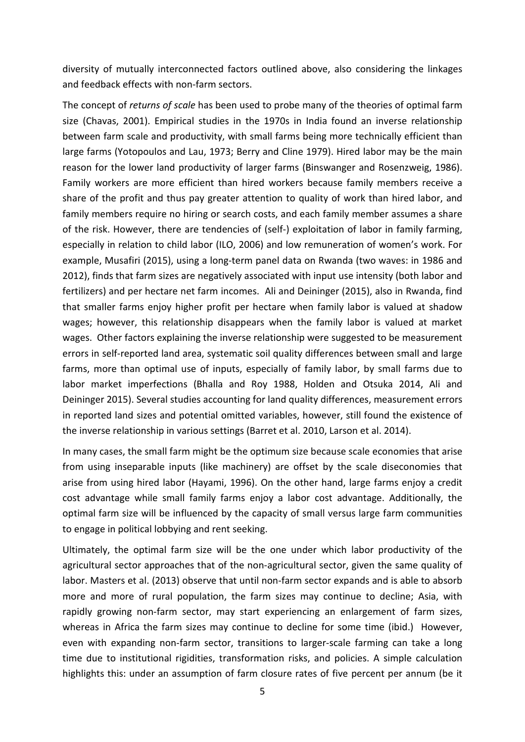diversity of mutually interconnected factors outlined above, also considering the linkages and feedback effects with non-farm sectors.

The concept of *returns of scale* has been used to probe many of the theories of optimal farm size (Chavas, 2001). Empirical studies in the 1970s in India found an inverse relationship between farm scale and productivity, with small farms being more technically efficient than large farms (Yotopoulos and Lau, 1973; Berry and Cline 1979). Hired labor may be the main reason for the lower land productivity of larger farms (Binswanger and Rosenzweig, 1986). Family workers are more efficient than hired workers because family members receive a share of the profit and thus pay greater attention to quality of work than hired labor, and family members require no hiring or search costs, and each family member assumes a share of the risk. However, there are tendencies of (self-) exploitation of labor in family farming, especially in relation to child labor (ILO, 2006) and low remuneration of women's work. For example, Musafiri (2015), using a long-term panel data on Rwanda (two waves: in 1986 and 2012), finds that farm sizes are negatively associated with input use intensity (both labor and fertilizers) and per hectare net farm incomes. Ali and Deininger (2015), also in Rwanda, find that smaller farms enjoy higher profit per hectare when family labor is valued at shadow wages; however, this relationship disappears when the family labor is valued at market wages. Other factors explaining the inverse relationship were suggested to be measurement errors in self-reported land area, systematic soil quality differences between small and large farms, more than optimal use of inputs, especially of family labor, by small farms due to labor market imperfections (Bhalla and Roy 1988, Holden and Otsuka 2014, Ali and Deininger 2015). Several studies accounting for land quality differences, measurement errors in reported land sizes and potential omitted variables, however, still found the existence of the inverse relationship in various settings (Barret et al. 2010, Larson et al. 2014).

In many cases, the small farm might be the optimum size because scale economies that arise from using inseparable inputs (like machinery) are offset by the scale diseconomies that arise from using hired labor (Hayami, 1996). On the other hand, large farms enjoy a credit cost advantage while small family farms enjoy a labor cost advantage. Additionally, the optimal farm size will be influenced by the capacity of small versus large farm communities to engage in political lobbying and rent seeking.

Ultimately, the optimal farm size will be the one under which labor productivity of the agricultural sector approaches that of the non-agricultural sector, given the same quality of labor. Masters et al. (2013) observe that until non-farm sector expands and is able to absorb more and more of rural population, the farm sizes may continue to decline; Asia, with rapidly growing non-farm sector, may start experiencing an enlargement of farm sizes, whereas in Africa the farm sizes may continue to decline for some time (ibid.) However, even with expanding non-farm sector, transitions to larger-scale farming can take a long time due to institutional rigidities, transformation risks, and policies. A simple calculation highlights this: under an assumption of farm closure rates of five percent per annum (be it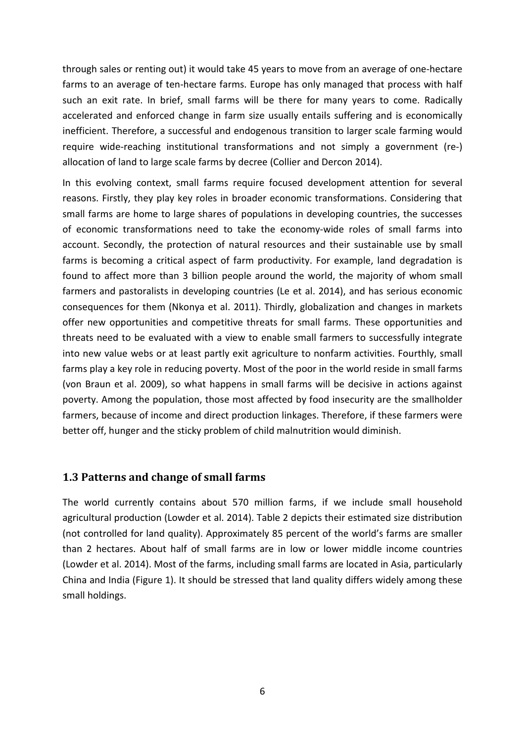through sales or renting out) it would take 45 years to move from an average of one-hectare farms to an average of ten-hectare farms. Europe has only managed that process with half such an exit rate. In brief, small farms will be there for many years to come. Radically accelerated and enforced change in farm size usually entails suffering and is economically inefficient. Therefore, a successful and endogenous transition to larger scale farming would require wide-reaching institutional transformations and not simply a government (re-) allocation of land to large scale farms by decree (Collier and Dercon 2014).

In this evolving context, small farms require focused development attention for several reasons. Firstly, they play key roles in broader economic transformations. Considering that small farms are home to large shares of populations in developing countries, the successes of economic transformations need to take the economy-wide roles of small farms into account. Secondly, the protection of natural resources and their sustainable use by small farms is becoming a critical aspect of farm productivity. For example, land degradation is found to affect more than 3 billion people around the world, the majority of whom small farmers and pastoralists in developing countries (Le et al. 2014), and has serious economic consequences for them (Nkonya et al. 2011). Thirdly, globalization and changes in markets offer new opportunities and competitive threats for small farms. These opportunities and threats need to be evaluated with a view to enable small farmers to successfully integrate into new value webs or at least partly exit agriculture to nonfarm activities. Fourthly, small farms play a key role in reducing poverty. Most of the poor in the world reside in small farms (von Braun et al. 2009), so what happens in small farms will be decisive in actions against poverty. Among the population, those most affected by food insecurity are the smallholder farmers, because of income and direct production linkages. Therefore, if these farmers were better off, hunger and the sticky problem of child malnutrition would diminish.

### <span id="page-12-0"></span>**1.3 Patterns and change of small farms**

The world currently contains about 570 million farms, if we include small household agricultural production (Lowder et al. 2014). Table 2 depicts their estimated size distribution (not controlled for land quality). Approximately 85 percent of the world's farms are smaller than 2 hectares. About half of small farms are in low or lower middle income countries (Lowder et al. 2014). Most of the farms, including small farms are located in Asia, particularly China and India (Figure 1). It should be stressed that land quality differs widely among these small holdings.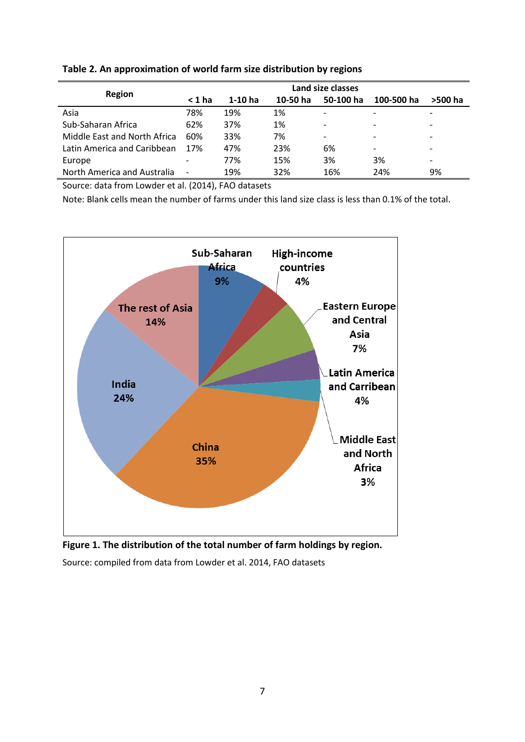|                              | Land size classes |           |          |                          |                          |                          |  |
|------------------------------|-------------------|-----------|----------|--------------------------|--------------------------|--------------------------|--|
| Region                       | $<$ 1 ha          | $1-10$ ha | 10-50 ha | 50-100 ha                | 100-500 ha               | >500 ha                  |  |
| Asia                         | 78%               | 19%       | 1%       | $\overline{\phantom{a}}$ | $\overline{\phantom{0}}$ | $\overline{\phantom{0}}$ |  |
| Sub-Saharan Africa           | 62%               | 37%       | 1%       |                          |                          | $\overline{\phantom{0}}$ |  |
| Middle East and North Africa | 60%               | 33%       | 7%       |                          |                          |                          |  |
| Latin America and Caribbean  | 17%               | 47%       | 23%      | 6%                       | $\overline{\phantom{0}}$ |                          |  |
| Europe                       |                   | 77%       | 15%      | 3%                       | 3%                       |                          |  |
| North America and Australia  |                   | 19%       | 32%      | 16%                      | 24%                      | 9%                       |  |

<span id="page-13-0"></span>**Table 2. An approximation of world farm size distribution by regions**

Source: data from Lowder et al. (2014), FAO datasets

Note: Blank cells mean the number of farms under this land size class is less than 0.1% of the total.



<span id="page-13-1"></span>

Source: compiled from data from Lowder et al. 2014, FAO datasets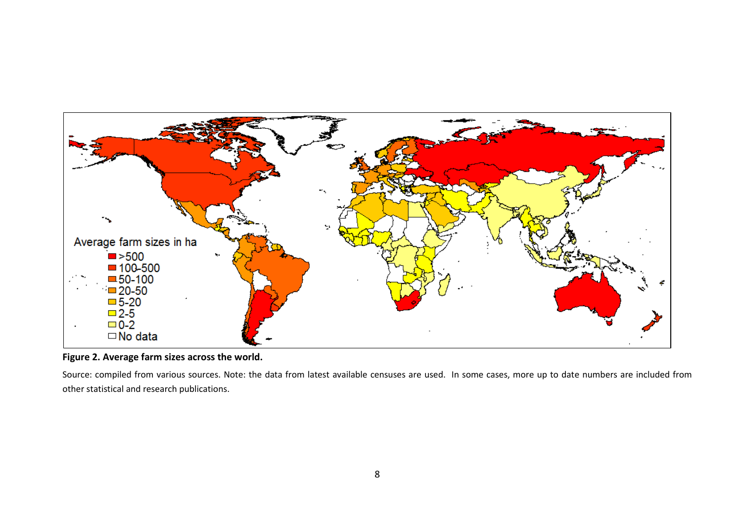

**Figure 2. Average farm sizes across the world.**

<span id="page-14-0"></span>Source: compiled from various sources. Note: the data from latest available censuses are used. In some cases, more up to date numbers are included from other statistical and research publications.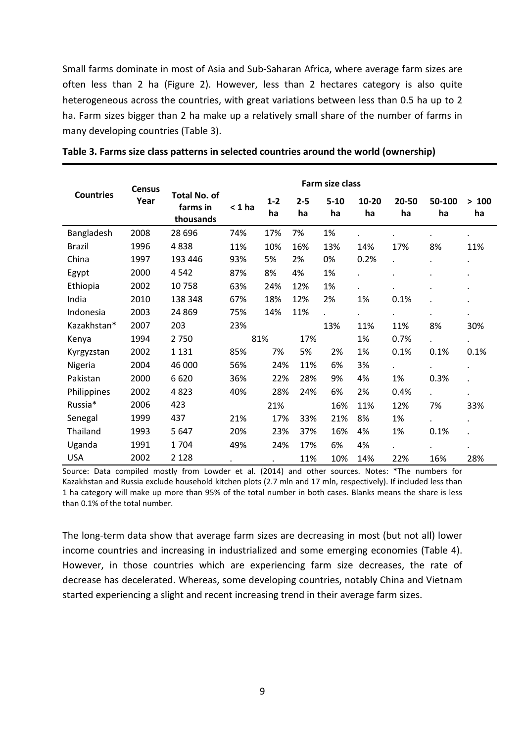Small farms dominate in most of Asia and Sub-Saharan Africa, where average farm sizes are often less than 2 ha (Figure 2). However, less than 2 hectares category is also quite heterogeneous across the countries, with great variations between less than 0.5 ha up to 2 ha. Farm sizes bigger than 2 ha make up a relatively small share of the number of farms in many developing countries (Table 3).

|                  | <b>Census</b> |                                              |           |                |               | Farm size class |             |                      |              |            |
|------------------|---------------|----------------------------------------------|-----------|----------------|---------------|-----------------|-------------|----------------------|--------------|------------|
| <b>Countries</b> | Year          | <b>Total No. of</b><br>farms in<br>thousands | $<$ 1 ha  | $1 - 2$<br>ha  | $2 - 5$<br>ha | $5 - 10$<br>ha  | 10-20<br>ha | 20-50<br>ha          | 50-100<br>ha | >100<br>ha |
| Bangladesh       | 2008          | 28 6 96                                      | 74%       | 17%            | 7%            | 1%              |             |                      |              |            |
| <b>Brazil</b>    | 1996          | 4838                                         | 11%       | 10%            | 16%           | 13%             | 14%         | 17%                  | 8%           | 11%        |
| China            | 1997          | 193 446                                      | 93%       | 5%             | 2%            | 0%              | 0.2%        | $\ddot{\phantom{0}}$ |              | $\cdot$    |
| Egypt            | 2000          | 4542                                         | 87%       | 8%             | 4%            | 1%              | $\cdot$     |                      | $\bullet$    | $\bullet$  |
| Ethiopia         | 2002          | 10758                                        | 63%       | 24%            | 12%           | 1%              |             |                      | $\cdot$      | $\cdot$    |
| India            | 2010          | 138 348                                      | 67%       | 18%            | 12%           | 2%              | 1%          | 0.1%                 | $\cdot$      | $\cdot$    |
| Indonesia        | 2003          | 24 8 69                                      | 75%       | 14%            | 11%           | $\cdot$         | $\cdot$     | $\bullet$            | $\cdot$      | $\bullet$  |
| Kazakhstan*      | 2007          | 203                                          | 23%       |                |               | 13%             | 11%         | 11%                  | 8%           | 30%        |
| Kenya            | 1994          | 2 7 5 0                                      |           | 81%            | 17%           |                 | 1%          | 0.7%                 |              | $\bullet$  |
| Kyrgyzstan       | 2002          | 1 1 3 1                                      | 85%       | 7%             | 5%            | 2%              | 1%          | 0.1%                 | 0.1%         | 0.1%       |
| Nigeria          | 2004          | 46 000                                       | 56%       | 24%            | 11%           | 6%              | 3%          | $\ddot{\phantom{0}}$ | $\bullet$    | $\cdot$    |
| Pakistan         | 2000          | 6620                                         | 36%       | 22%            | 28%           | 9%              | 4%          | 1%                   | 0.3%         | $\bullet$  |
| Philippines      | 2002          | 4823                                         | 40%       | 28%            | 24%           | 6%              | 2%          | 0.4%                 | $\cdot$      | $\bullet$  |
| Russia*          | 2006          | 423                                          |           | 21%            |               | 16%             | 11%         | 12%                  | 7%           | 33%        |
| Senegal          | 1999          | 437                                          | 21%       | 17%            | 33%           | 21%             | 8%          | 1%                   | $\cdot$      | $\cdot$    |
| Thailand         | 1993          | 5 6 4 7                                      | 20%       | 23%            | 37%           | 16%             | 4%          | 1%                   | 0.1%         | $\bullet$  |
| Uganda           | 1991          | 1704                                         | 49%       | 24%            | 17%           | 6%              | 4%          |                      |              |            |
| <b>USA</b>       | 2002          | 2 1 2 8                                      | $\bullet$ | $\blacksquare$ | 11%           | 10%             | 14%         | 22%                  | 16%          | 28%        |

#### <span id="page-15-0"></span>**Table 3. Farms size class patterns in selected countries around the world (ownership)**

Source: Data compiled mostly from Lowder et al. (2014) and other sources. Notes: \*The numbers for Kazakhstan and Russia exclude household kitchen plots (2.7 mln and 17 mln, respectively). If included less than 1 ha category will make up more than 95% of the total number in both cases. Blanks means the share is less than 0.1% of the total number.

<span id="page-15-1"></span>The long-term data show that average farm sizes are decreasing in most (but not all) lower income countries and increasing in industrialized and some emerging economies (Table 4). However, in those countries which are experiencing farm size decreases, the rate of decrease has decelerated. Whereas, some developing countries, notably China and Vietnam started experiencing a slight and recent increasing trend in their average farm sizes.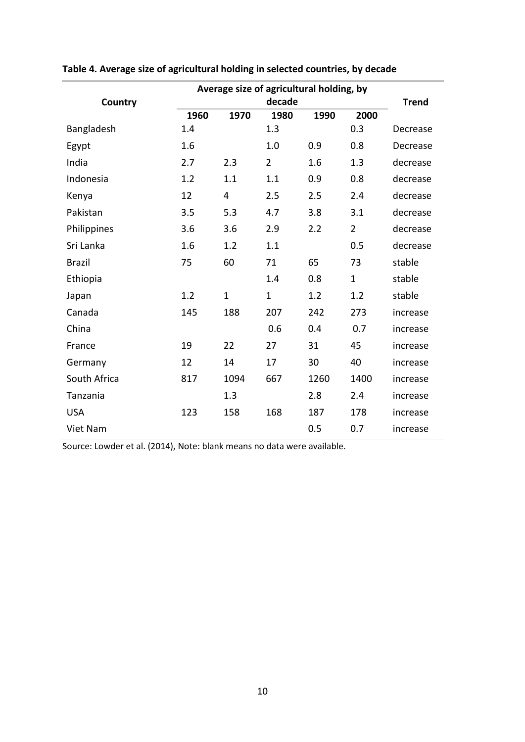|               | Average size of agricultural holding, by |              |                |      |                |              |
|---------------|------------------------------------------|--------------|----------------|------|----------------|--------------|
| Country       |                                          |              | decade         |      |                | <b>Trend</b> |
|               | 1960                                     | 1970         | 1980           | 1990 | 2000           |              |
| Bangladesh    | 1.4                                      |              | 1.3            |      | 0.3            | Decrease     |
| Egypt         | 1.6                                      |              | 1.0            | 0.9  | 0.8            | Decrease     |
| India         | 2.7                                      | 2.3          | $\overline{2}$ | 1.6  | 1.3            | decrease     |
| Indonesia     | 1.2                                      | 1.1          | 1.1            | 0.9  | 0.8            | decrease     |
| Kenya         | 12                                       | 4            | 2.5            | 2.5  | 2.4            | decrease     |
| Pakistan      | 3.5                                      | 5.3          | 4.7            | 3.8  | 3.1            | decrease     |
| Philippines   | 3.6                                      | 3.6          | 2.9            | 2.2  | $\overline{2}$ | decrease     |
| Sri Lanka     | 1.6                                      | 1.2          | 1.1            |      | 0.5            | decrease     |
| <b>Brazil</b> | 75                                       | 60           | 71             | 65   | 73             | stable       |
| Ethiopia      |                                          |              | 1.4            | 0.8  | $\mathbf{1}$   | stable       |
| Japan         | 1.2                                      | $\mathbf{1}$ | $\mathbf{1}$   | 1.2  | 1.2            | stable       |
| Canada        | 145                                      | 188          | 207            | 242  | 273            | increase     |
| China         |                                          |              | 0.6            | 0.4  | 0.7            | increase     |
| France        | 19                                       | 22           | 27             | 31   | 45             | increase     |
| Germany       | 12                                       | 14           | 17             | 30   | 40             | increase     |
| South Africa  | 817                                      | 1094         | 667            | 1260 | 1400           | increase     |
| Tanzania      |                                          | 1.3          |                | 2.8  | 2.4            | increase     |
| <b>USA</b>    | 123                                      | 158          | 168            | 187  | 178            | increase     |
| Viet Nam      |                                          |              |                | 0.5  | 0.7            | increase     |

Source: Lowder et al. (2014), Note: blank means no data were available.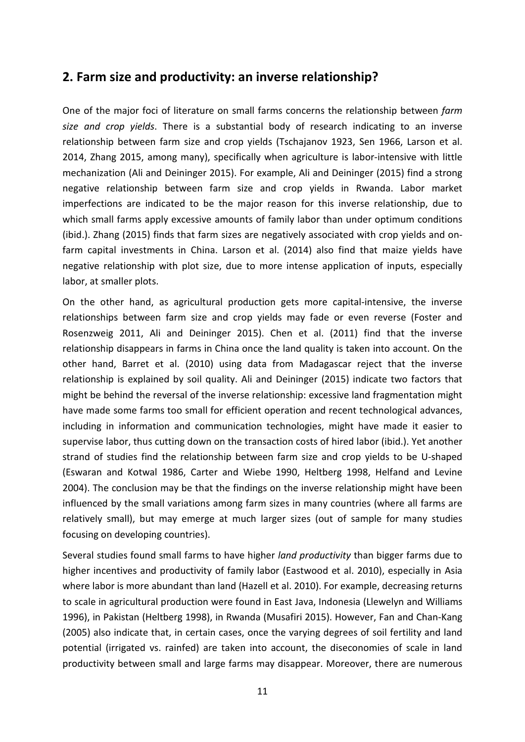### <span id="page-17-0"></span>**2. Farm size and productivity: an inverse relationship?**

One of the major foci of literature on small farms concerns the relationship between *farm size and crop yields*. There is a substantial body of research indicating to an inverse relationship between farm size and crop yields (Tschajanov 1923, Sen 1966, Larson et al. 2014, Zhang 2015, among many), specifically when agriculture is labor-intensive with little mechanization (Ali and Deininger 2015). For example, Ali and Deininger (2015) find a strong negative relationship between farm size and crop yields in Rwanda. Labor market imperfections are indicated to be the major reason for this inverse relationship, due to which small farms apply excessive amounts of family labor than under optimum conditions (ibid.). Zhang (2015) finds that farm sizes are negatively associated with crop yields and onfarm capital investments in China. Larson et al. (2014) also find that maize yields have negative relationship with plot size, due to more intense application of inputs, especially labor, at smaller plots.

On the other hand, as agricultural production gets more capital-intensive, the inverse relationships between farm size and crop yields may fade or even reverse (Foster and Rosenzweig 2011, Ali and Deininger 2015). Chen et al. (2011) find that the inverse relationship disappears in farms in China once the land quality is taken into account. On the other hand, Barret et al. (2010) using data from Madagascar reject that the inverse relationship is explained by soil quality. Ali and Deininger (2015) indicate two factors that might be behind the reversal of the inverse relationship: excessive land fragmentation might have made some farms too small for efficient operation and recent technological advances, including in information and communication technologies, might have made it easier to supervise labor, thus cutting down on the transaction costs of hired labor (ibid.). Yet another strand of studies find the relationship between farm size and crop yields to be U-shaped (Eswaran and Kotwal 1986, Carter and Wiebe 1990, Heltberg 1998, Helfand and Levine 2004). The conclusion may be that the findings on the inverse relationship might have been influenced by the small variations among farm sizes in many countries (where all farms are relatively small), but may emerge at much larger sizes (out of sample for many studies focusing on developing countries).

Several studies found small farms to have higher *land productivity* than bigger farms due to higher incentives and productivity of family labor (Eastwood et al. 2010), especially in Asia where labor is more abundant than land (Hazell et al. 2010). For example, decreasing returns to scale in agricultural production were found in East Java, Indonesia (Llewelyn and Williams 1996), in Pakistan (Heltberg 1998), in Rwanda (Musafiri 2015). However, Fan and Chan-Kang (2005) also indicate that, in certain cases, once the varying degrees of soil fertility and land potential (irrigated vs. rainfed) are taken into account, the diseconomies of scale in land productivity between small and large farms may disappear. Moreover, there are numerous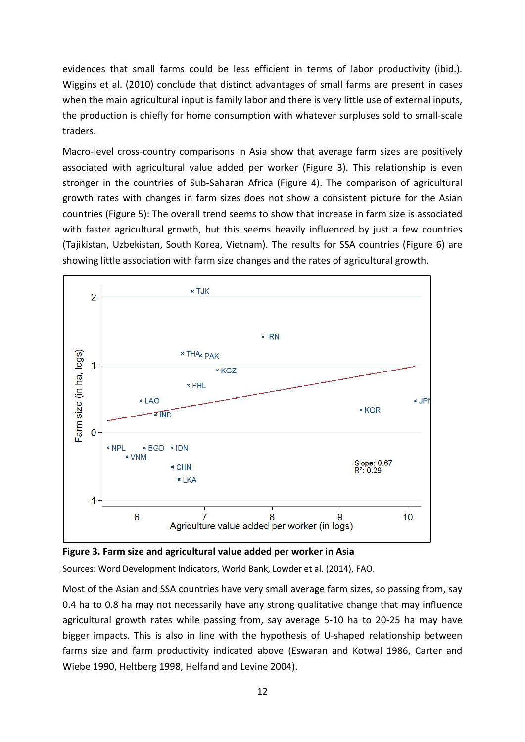evidences that small farms could be less efficient in terms of labor productivity (ibid.). Wiggins et al. (2010) conclude that distinct advantages of small farms are present in cases when the main agricultural input is family labor and there is very little use of external inputs, the production is chiefly for home consumption with whatever surpluses sold to small-scale traders.

Macro-level cross-country comparisons in Asia show that average farm sizes are positively associated with agricultural value added per worker (Figure 3). This relationship is even stronger in the countries of Sub-Saharan Africa (Figure 4). The comparison of agricultural growth rates with changes in farm sizes does not show a consistent picture for the Asian countries (Figure 5): The overall trend seems to show that increase in farm size is associated with faster agricultural growth, but this seems heavily influenced by just a few countries (Tajikistan, Uzbekistan, South Korea, Vietnam). The results for SSA countries (Figure 6) are showing little association with farm size changes and the rates of agricultural growth.



<span id="page-18-0"></span>**Figure 3. Farm size and agricultural value added per worker in Asia**

Sources: Word Development Indicators, World Bank, Lowder et al. (2014), FAO.

Most of the Asian and SSA countries have very small average farm sizes, so passing from, say 0.4 ha to 0.8 ha may not necessarily have any strong qualitative change that may influence agricultural growth rates while passing from, say average 5-10 ha to 20-25 ha may have bigger impacts. This is also in line with the hypothesis of U-shaped relationship between farms size and farm productivity indicated above (Eswaran and Kotwal 1986, Carter and Wiebe 1990, Heltberg 1998, Helfand and Levine 2004).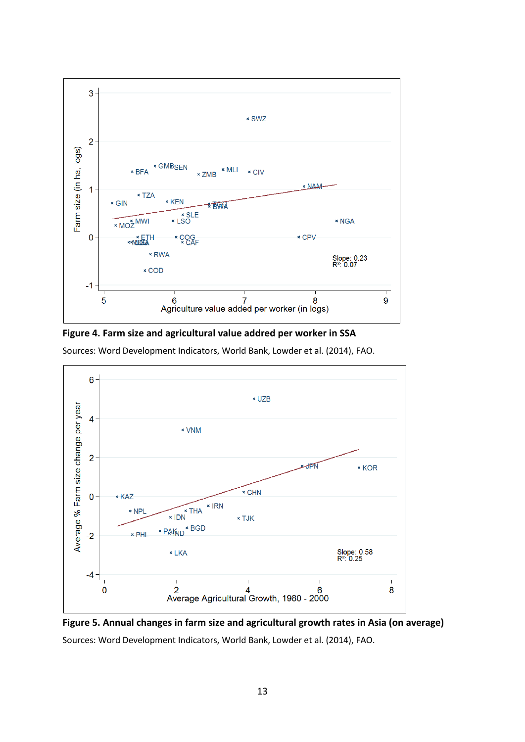

<span id="page-19-0"></span>**Figure 4. Farm size and agricultural value addred per worker in SSA**





<span id="page-19-1"></span>**Figure 5. Annual changes in farm size and agricultural growth rates in Asia (on average)** Sources: Word Development Indicators, World Bank, Lowder et al. (2014), FAO.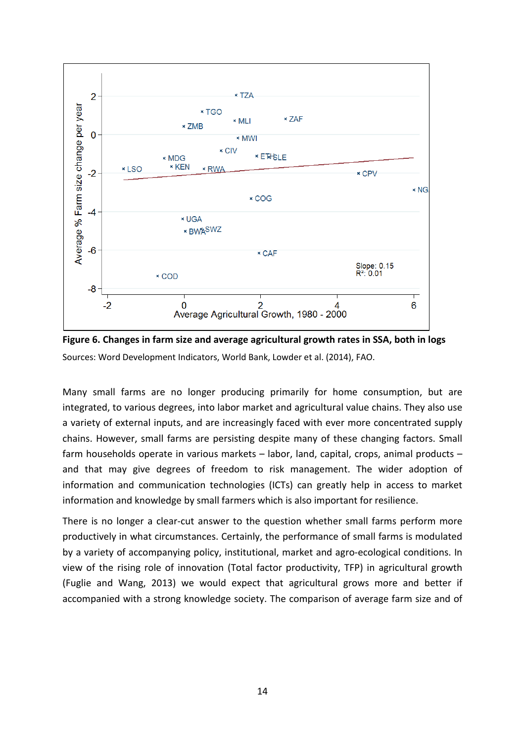

<span id="page-20-0"></span>**Figure 6. Changes in farm size and average agricultural growth rates in SSA, both in logs** Sources: Word Development Indicators, World Bank, Lowder et al. (2014), FAO.

Many small farms are no longer producing primarily for home consumption, but are integrated, to various degrees, into labor market and agricultural value chains. They also use a variety of external inputs, and are increasingly faced with ever more concentrated supply chains. However, small farms are persisting despite many of these changing factors. Small farm households operate in various markets – labor, land, capital, crops, animal products – and that may give degrees of freedom to risk management. The wider adoption of information and communication technologies (ICTs) can greatly help in access to market information and knowledge by small farmers which is also important for resilience.

There is no longer a clear-cut answer to the question whether small farms perform more productively in what circumstances. Certainly, the performance of small farms is modulated by a variety of accompanying policy, institutional, market and agro-ecological conditions. In view of the rising role of innovation (Total factor productivity, TFP) in agricultural growth (Fuglie and Wang, 2013) we would expect that agricultural grows more and better if accompanied with a strong knowledge society. The comparison of average farm size and of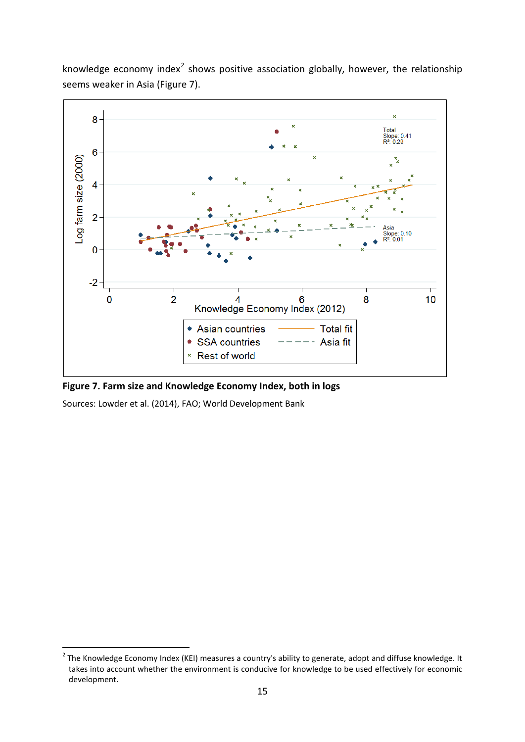

knowledge economy index<sup>[2](#page-21-1)</sup> shows positive association globally, however, the relationship seems weaker in Asia (Figure 7).

<span id="page-21-0"></span>**Figure 7. Farm size and Knowledge Economy Index, both in logs**

Sources: Lowder et al. (2014), FAO; World Development Bank

<span id="page-21-1"></span> $2$  The Knowledge Economy Index (KEI) measures a country's ability to generate, adopt and diffuse knowledge. It takes into account whether the environment is conducive for knowledge to be used effectively for economic development.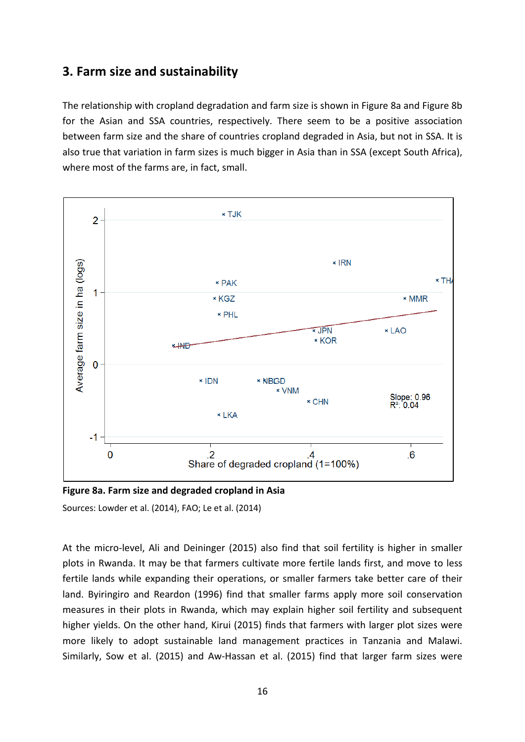## <span id="page-22-0"></span>**3. Farm size and sustainability**

The relationship with cropland degradation and farm size is shown in Figure 8a and Figure 8b for the Asian and SSA countries, respectively. There seem to be a positive association between farm size and the share of countries cropland degraded in Asia, but not in SSA. It is also true that variation in farm sizes is much bigger in Asia than in SSA (except South Africa), where most of the farms are, in fact, small.



<span id="page-22-1"></span>**Figure 8a. Farm size and degraded cropland in Asia**

Sources: Lowder et al. (2014), FAO; Le et al. (2014)

At the micro-level, Ali and Deininger (2015) also find that soil fertility is higher in smaller plots in Rwanda. It may be that farmers cultivate more fertile lands first, and move to less fertile lands while expanding their operations, or smaller farmers take better care of their land. Byiringiro and Reardon (1996) find that smaller farms apply more soil conservation measures in their plots in Rwanda, which may explain higher soil fertility and subsequent higher yields. On the other hand, Kirui (2015) finds that farmers with larger plot sizes were more likely to adopt sustainable land management practices in Tanzania and Malawi. Similarly, Sow et al. (2015) and Aw-Hassan et al. (2015) find that larger farm sizes were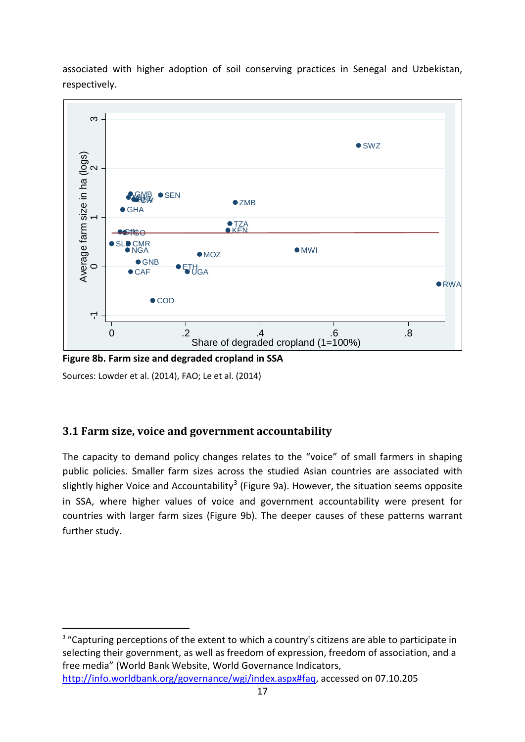associated with higher adoption of soil conserving practices in Senegal and Uzbekistan, respectively.



<span id="page-23-1"></span>**Figure 8b. Farm size and degraded cropland in SSA**

Sources: Lowder et al. (2014), FAO; Le et al. (2014)

### <span id="page-23-0"></span>**3.1 Farm size, voice and government accountability**

The capacity to demand policy changes relates to the "voice" of small farmers in shaping public policies. Smaller farm sizes across the studied Asian countries are associated with slightly higher Voice and Accountability<sup>[3](#page-23-2)</sup> (Figure 9a). However, the situation seems opposite in SSA, where higher values of voice and government accountability were present for countries with larger farm sizes (Figure 9b). The deeper causes of these patterns warrant further study.

<span id="page-23-2"></span><sup>&</sup>lt;sup>3</sup> "Capturing perceptions of the extent to which a country's citizens are able to participate in selecting their government, as well as freedom of expression, freedom of association, and a free media" (World Bank Website, World Governance Indicators, [http://info.worldbank.org/governance/wgi/index.aspx#faq,](http://info.worldbank.org/governance/wgi/index.aspx#faq) accessed on 07.10.205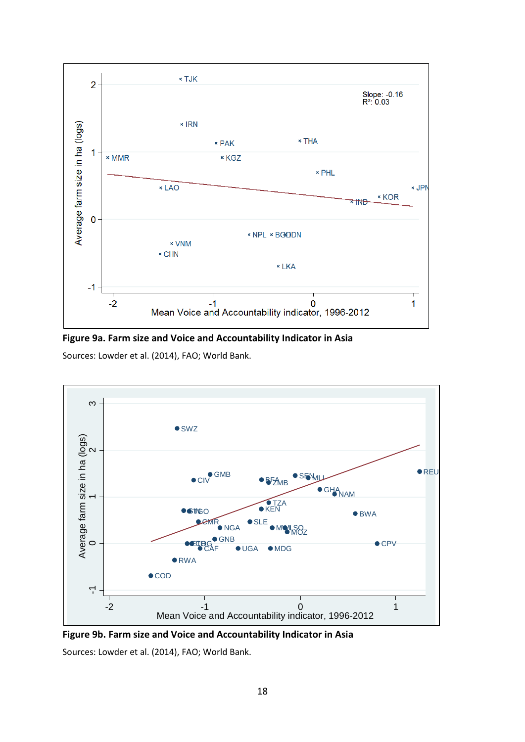

<span id="page-24-0"></span>**Figure 9a. Farm size and Voice and Accountability Indicator in Asia**

Sources: Lowder et al. (2014), FAO; World Bank.



<span id="page-24-1"></span>**Figure 9b. Farm size and Voice and Accountability Indicator in Asia**

Sources: Lowder et al. (2014), FAO; World Bank.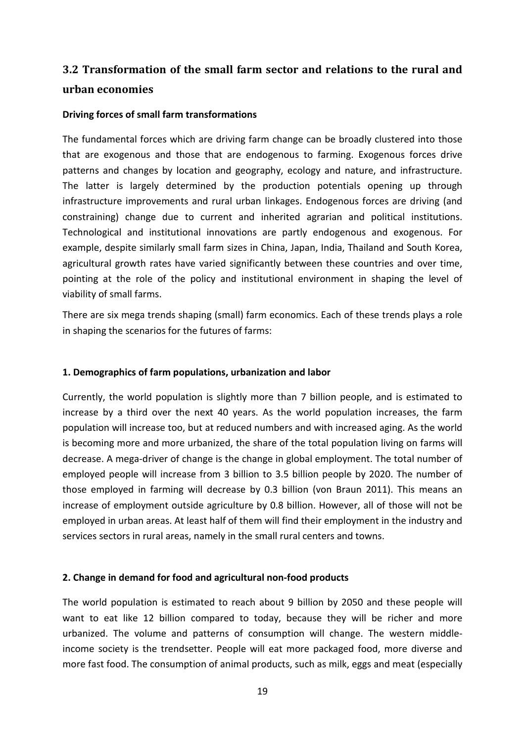# <span id="page-25-0"></span>**3.2 Transformation of the small farm sector and relations to the rural and urban economies**

#### **Driving forces of small farm transformations**

The fundamental forces which are driving farm change can be broadly clustered into those that are exogenous and those that are endogenous to farming. Exogenous forces drive patterns and changes by location and geography, ecology and nature, and infrastructure. The latter is largely determined by the production potentials opening up through infrastructure improvements and rural urban linkages. Endogenous forces are driving (and constraining) change due to current and inherited agrarian and political institutions. Technological and institutional innovations are partly endogenous and exogenous. For example, despite similarly small farm sizes in China, Japan, India, Thailand and South Korea, agricultural growth rates have varied significantly between these countries and over time, pointing at the role of the policy and institutional environment in shaping the level of viability of small farms.

There are six mega trends shaping (small) farm economics. Each of these trends plays a role in shaping the scenarios for the futures of farms:

### **1. Demographics of farm populations, urbanization and labor**

Currently, the world population is slightly more than 7 billion people, and is estimated to increase by a third over the next 40 years. As the world population increases, the farm population will increase too, but at reduced numbers and with increased aging. As the world is becoming more and more urbanized, the share of the total population living on farms will decrease. A mega-driver of change is the change in global employment. The total number of employed people will increase from 3 billion to 3.5 billion people by 2020. The number of those employed in farming will decrease by 0.3 billion (von Braun 2011). This means an increase of employment outside agriculture by 0.8 billion. However, all of those will not be employed in urban areas. At least half of them will find their employment in the industry and services sectors in rural areas, namely in the small rural centers and towns.

#### **2. Change in demand for food and agricultural non-food products**

The world population is estimated to reach about 9 billion by 2050 and these people will want to eat like 12 billion compared to today, because they will be richer and more urbanized. The volume and patterns of consumption will change. The western middleincome society is the trendsetter. People will eat more packaged food, more diverse and more fast food. The consumption of animal products, such as milk, eggs and meat (especially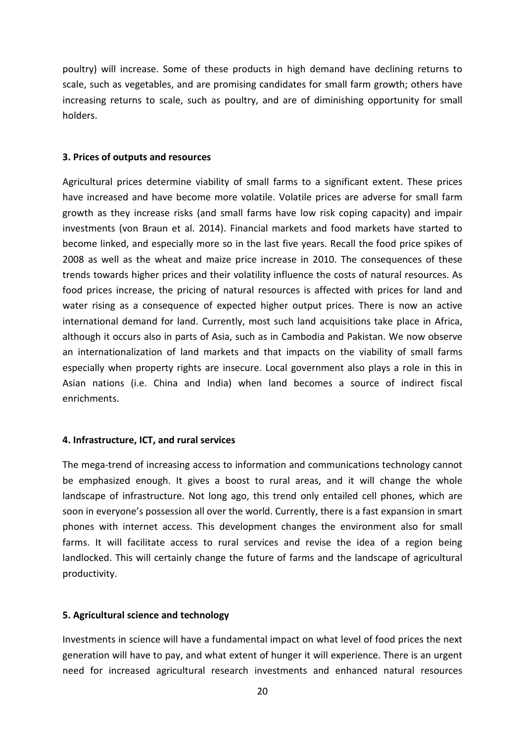poultry) will increase. Some of these products in high demand have declining returns to scale, such as vegetables, and are promising candidates for small farm growth; others have increasing returns to scale, such as poultry, and are of diminishing opportunity for small holders.

#### **3. Prices of outputs and resources**

Agricultural prices determine viability of small farms to a significant extent. These prices have increased and have become more volatile. Volatile prices are adverse for small farm growth as they increase risks (and small farms have low risk coping capacity) and impair investments (von Braun et al. 2014). Financial markets and food markets have started to become linked, and especially more so in the last five years. Recall the food price spikes of 2008 as well as the wheat and maize price increase in 2010. The consequences of these trends towards higher prices and their volatility influence the costs of natural resources. As food prices increase, the pricing of natural resources is affected with prices for land and water rising as a consequence of expected higher output prices. There is now an active international demand for land. Currently, most such land acquisitions take place in Africa, although it occurs also in parts of Asia, such as in Cambodia and Pakistan. We now observe an internationalization of land markets and that impacts on the viability of small farms especially when property rights are insecure. Local government also plays a role in this in Asian nations (i.e. China and India) when land becomes a source of indirect fiscal enrichments.

### **4. Infrastructure, ICT, and rural services**

The mega-trend of increasing access to information and communications technology cannot be emphasized enough. It gives a boost to rural areas, and it will change the whole landscape of infrastructure. Not long ago, this trend only entailed cell phones, which are soon in everyone's possession all over the world. Currently, there is a fast expansion in smart phones with internet access. This development changes the environment also for small farms. It will facilitate access to rural services and revise the idea of a region being landlocked. This will certainly change the future of farms and the landscape of agricultural productivity.

### **5. Agricultural science and technology**

Investments in science will have a fundamental impact on what level of food prices the next generation will have to pay, and what extent of hunger it will experience. There is an urgent need for increased agricultural research investments and enhanced natural resources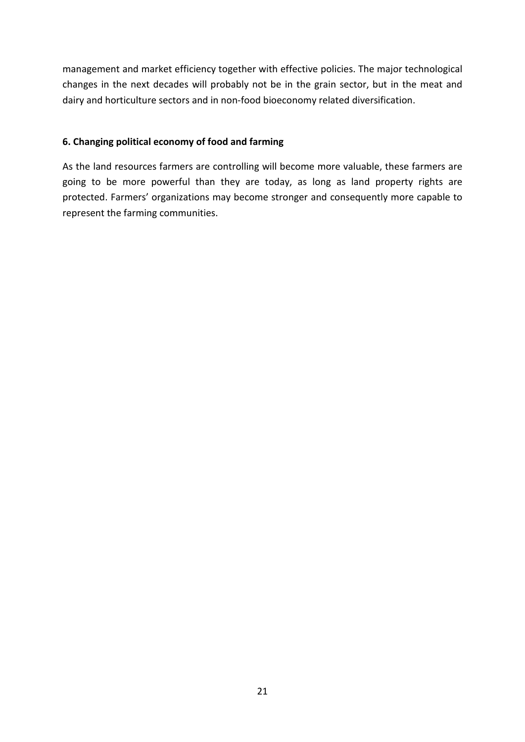management and market efficiency together with effective policies. The major technological changes in the next decades will probably not be in the grain sector, but in the meat and dairy and horticulture sectors and in non-food bioeconomy related diversification.

### **6. Changing political economy of food and farming**

<span id="page-27-0"></span>As the land resources farmers are controlling will become more valuable, these farmers are going to be more powerful than they are today, as long as land property rights are protected. Farmers' organizations may become stronger and consequently more capable to represent the farming communities.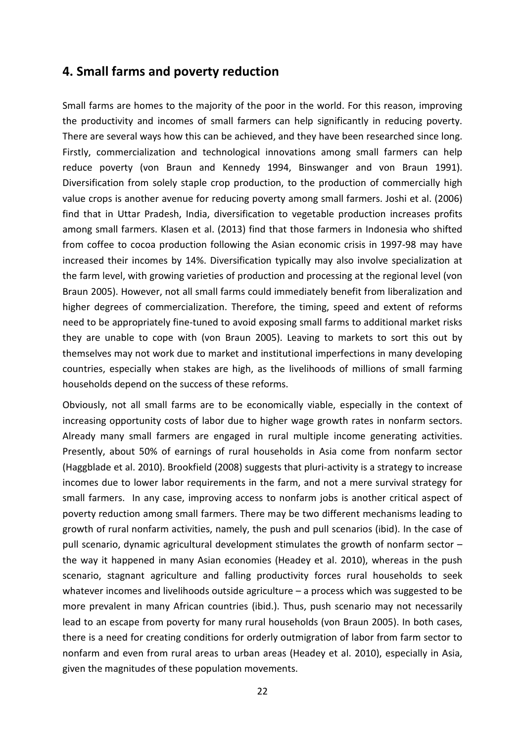### **4. Small farms and poverty reduction**

Small farms are homes to the majority of the poor in the world. For this reason, improving the productivity and incomes of small farmers can help significantly in reducing poverty. There are several ways how this can be achieved, and they have been researched since long. Firstly, commercialization and technological innovations among small farmers can help reduce poverty (von Braun and Kennedy 1994, Binswanger and von Braun 1991). Diversification from solely staple crop production, to the production of commercially high value crops is another avenue for reducing poverty among small farmers. Joshi et al. (2006) find that in Uttar Pradesh, India, diversification to vegetable production increases profits among small farmers. Klasen et al. (2013) find that those farmers in Indonesia who shifted from coffee to cocoa production following the Asian economic crisis in 1997-98 may have increased their incomes by 14%. Diversification typically may also involve specialization at the farm level, with growing varieties of production and processing at the regional level (von Braun 2005). However, not all small farms could immediately benefit from liberalization and higher degrees of commercialization. Therefore, the timing, speed and extent of reforms need to be appropriately fine-tuned to avoid exposing small farms to additional market risks they are unable to cope with (von Braun 2005). Leaving to markets to sort this out by themselves may not work due to market and institutional imperfections in many developing countries, especially when stakes are high, as the livelihoods of millions of small farming households depend on the success of these reforms.

Obviously, not all small farms are to be economically viable, especially in the context of increasing opportunity costs of labor due to higher wage growth rates in nonfarm sectors. Already many small farmers are engaged in rural multiple income generating activities. Presently, about 50% of earnings of rural households in Asia come from nonfarm sector (Haggblade et al. 2010). Brookfield (2008) suggests that pluri-activity is a strategy to increase incomes due to lower labor requirements in the farm, and not a mere survival strategy for small farmers. In any case, improving access to nonfarm jobs is another critical aspect of poverty reduction among small farmers. There may be two different mechanisms leading to growth of rural nonfarm activities, namely, the push and pull scenarios (ibid). In the case of pull scenario, dynamic agricultural development stimulates the growth of nonfarm sector – the way it happened in many Asian economies (Headey et al. 2010), whereas in the push scenario, stagnant agriculture and falling productivity forces rural households to seek whatever incomes and livelihoods outside agriculture – a process which was suggested to be more prevalent in many African countries (ibid.). Thus, push scenario may not necessarily lead to an escape from poverty for many rural households (von Braun 2005). In both cases, there is a need for creating conditions for orderly outmigration of labor from farm sector to nonfarm and even from rural areas to urban areas (Headey et al. 2010), especially in Asia, given the magnitudes of these population movements.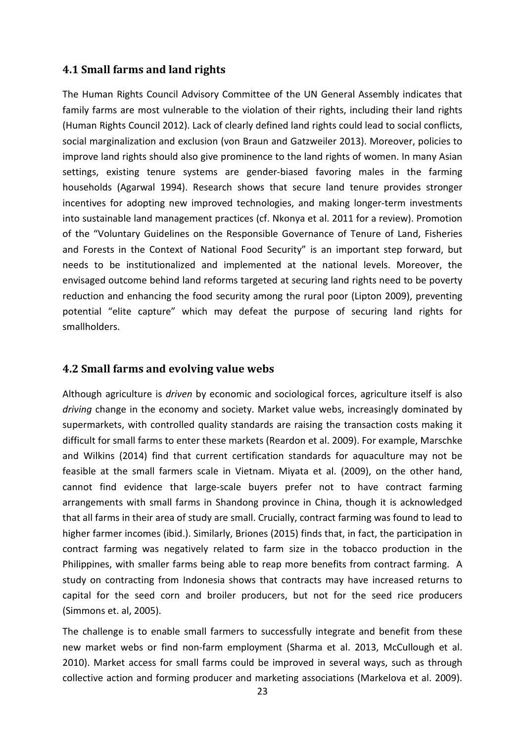### <span id="page-29-0"></span>**4.1 Small farms and land rights**

The Human Rights Council Advisory Committee of the UN General Assembly indicates that family farms are most vulnerable to the violation of their rights, including their land rights (Human Rights Council 2012). Lack of clearly defined land rights could lead to social conflicts, social marginalization and exclusion (von Braun and Gatzweiler 2013). Moreover, policies to improve land rights should also give prominence to the land rights of women. In many Asian settings, existing tenure systems are gender-biased favoring males in the farming households (Agarwal 1994). Research shows that secure land tenure provides stronger incentives for adopting new improved technologies, and making longer-term investments into sustainable land management practices (cf. Nkonya et al. 2011 for a review). Promotion of the "Voluntary Guidelines on the Responsible Governance of Tenure of Land, Fisheries and Forests in the Context of National Food Security" is an important step forward, but needs to be institutionalized and implemented at the national levels. Moreover, the envisaged outcome behind land reforms targeted at securing land rights need to be poverty reduction and enhancing the food security among the rural poor (Lipton 2009), preventing potential "elite capture" which may defeat the purpose of securing land rights for smallholders.

### <span id="page-29-1"></span>**4.2 Small farms and evolving value webs**

Although agriculture is *driven* by economic and sociological forces, agriculture itself is also *driving* change in the economy and society. Market value webs, increasingly dominated by supermarkets, with controlled quality standards are raising the transaction costs making it difficult for small farms to enter these markets (Reardon et al. 2009). For example, Marschke and Wilkins (2014) find that current certification standards for aquaculture may not be feasible at the small farmers scale in Vietnam. Miyata et al. (2009), on the other hand, cannot find evidence that large-scale buyers prefer not to have contract farming arrangements with small farms in Shandong province in China, though it is acknowledged that all farms in their area of study are small. Crucially, contract farming was found to lead to higher farmer incomes (ibid.). Similarly, Briones (2015) finds that, in fact, the participation in contract farming was negatively related to farm size in the tobacco production in the Philippines, with smaller farms being able to reap more benefits from contract farming. A study on contracting from Indonesia shows that contracts may have increased returns to capital for the seed corn and broiler producers, but not for the seed rice producers (Simmons et. al, 2005).

The challenge is to enable small farmers to successfully integrate and benefit from these new market webs or find non-farm employment (Sharma et al. 2013, McCullough et al. 2010). Market access for small farms could be improved in several ways, such as through collective action and forming producer and marketing associations (Markelova et al. 2009).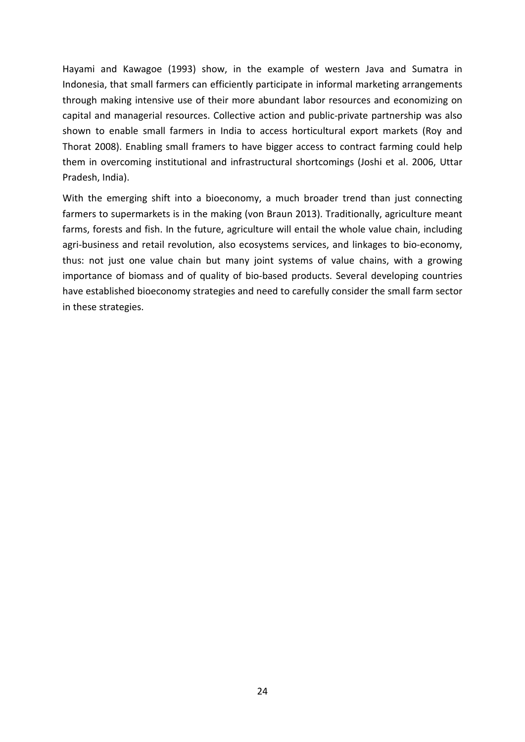Hayami and Kawagoe (1993) show, in the example of western Java and Sumatra in Indonesia, that small farmers can efficiently participate in informal marketing arrangements through making intensive use of their more abundant labor resources and economizing on capital and managerial resources. Collective action and public-private partnership was also shown to enable small farmers in India to access horticultural export markets (Roy and Thorat 2008). Enabling small framers to have bigger access to contract farming could help them in overcoming institutional and infrastructural shortcomings (Joshi et al. 2006, Uttar Pradesh, India).

With the emerging shift into a bioeconomy, a much broader trend than just connecting farmers to supermarkets is in the making (von Braun 2013). Traditionally, agriculture meant farms, forests and fish. In the future, agriculture will entail the whole value chain, including agri-business and retail revolution, also ecosystems services, and linkages to bio-economy, thus: not just one value chain but many joint systems of value chains, with a growing importance of biomass and of quality of bio-based products. Several developing countries have established bioeconomy strategies and need to carefully consider the small farm sector in these strategies.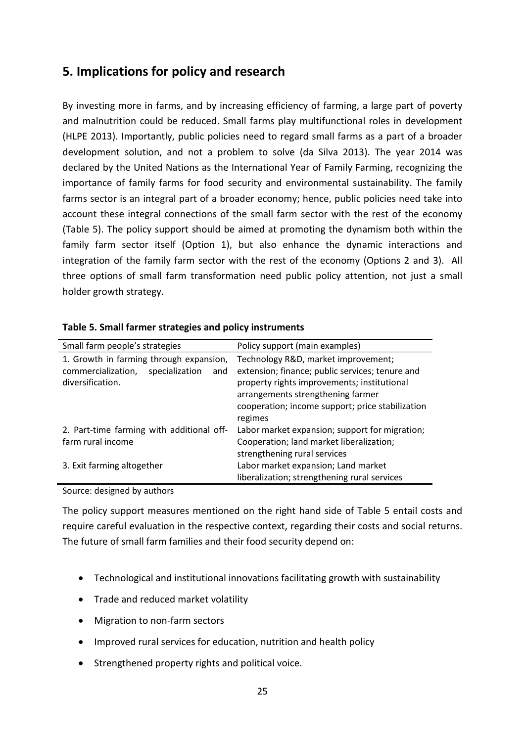## <span id="page-31-0"></span>**5. Implications for policy and research**

By investing more in farms, and by increasing efficiency of farming, a large part of poverty and malnutrition could be reduced. Small farms play multifunctional roles in development (HLPE 2013). Importantly, public policies need to regard small farms as a part of a broader development solution, and not a problem to solve (da Silva 2013). The year 2014 was declared by the United Nations as the International Year of Family Farming, recognizing the importance of family farms for food security and environmental sustainability. The family farms sector is an integral part of a broader economy; hence, public policies need take into account these integral connections of the small farm sector with the rest of the economy (Table 5). The policy support should be aimed at promoting the dynamism both within the family farm sector itself (Option 1), but also enhance the dynamic interactions and integration of the family farm sector with the rest of the economy (Options 2 and 3). All three options of small farm transformation need public policy attention, not just a small holder growth strategy.

| Small farm people's strategies              | Policy support (main examples)                   |  |  |  |
|---------------------------------------------|--------------------------------------------------|--|--|--|
| 1. Growth in farming through expansion,     | Technology R&D, market improvement;              |  |  |  |
| commercialization,<br>specialization<br>and | extension; finance; public services; tenure and  |  |  |  |
| diversification.                            | property rights improvements; institutional      |  |  |  |
|                                             | arrangements strengthening farmer                |  |  |  |
|                                             | cooperation; income support; price stabilization |  |  |  |
|                                             | regimes                                          |  |  |  |
| 2. Part-time farming with additional off-   | Labor market expansion; support for migration;   |  |  |  |
| farm rural income                           | Cooperation; land market liberalization;         |  |  |  |
|                                             | strengthening rural services                     |  |  |  |
| 3. Exit farming altogether                  | Labor market expansion; Land market              |  |  |  |
|                                             | liberalization; strengthening rural services     |  |  |  |

#### <span id="page-31-1"></span>**Table 5. Small farmer strategies and policy instruments**

Source: designed by authors

The policy support measures mentioned on the right hand side of Table 5 entail costs and require careful evaluation in the respective context, regarding their costs and social returns. The future of small farm families and their food security depend on:

- Technological and institutional innovations facilitating growth with sustainability
- Trade and reduced market volatility
- Migration to non-farm sectors
- Improved rural services for education, nutrition and health policy
- Strengthened property rights and political voice.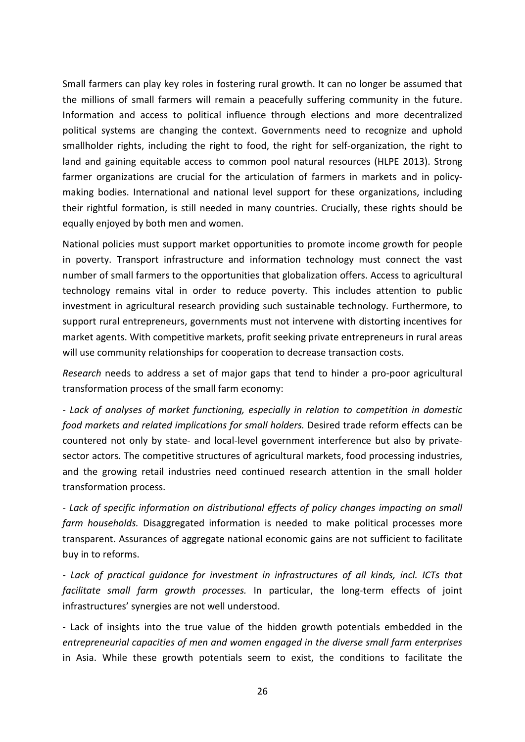Small farmers can play key roles in fostering rural growth. It can no longer be assumed that the millions of small farmers will remain a peacefully suffering community in the future. Information and access to political influence through elections and more decentralized political systems are changing the context. Governments need to recognize and uphold smallholder rights, including the right to food, the right for self-organization, the right to land and gaining equitable access to common pool natural resources (HLPE 2013). Strong farmer organizations are crucial for the articulation of farmers in markets and in policymaking bodies. International and national level support for these organizations, including their rightful formation, is still needed in many countries. Crucially, these rights should be equally enjoyed by both men and women.

National policies must support market opportunities to promote income growth for people in poverty. Transport infrastructure and information technology must connect the vast number of small farmers to the opportunities that globalization offers. Access to agricultural technology remains vital in order to reduce poverty. This includes attention to public investment in agricultural research providing such sustainable technology. Furthermore, to support rural entrepreneurs, governments must not intervene with distorting incentives for market agents. With competitive markets, profit seeking private entrepreneurs in rural areas will use community relationships for cooperation to decrease transaction costs.

*Research* needs to address a set of major gaps that tend to hinder a pro-poor agricultural transformation process of the small farm economy:

*- Lack of analyses of market functioning, especially in relation to competition in domestic food markets and related implications for small holders.* Desired trade reform effects can be countered not only by state- and local-level government interference but also by privatesector actors. The competitive structures of agricultural markets, food processing industries, and the growing retail industries need continued research attention in the small holder transformation process.

*- Lack of specific information on distributional effects of policy changes impacting on small farm households.* Disaggregated information is needed to make political processes more transparent. Assurances of aggregate national economic gains are not sufficient to facilitate buy in to reforms.

*- Lack of practical guidance for investment in infrastructures of all kinds, incl. ICTs that facilitate small farm growth processes.* In particular, the long-term effects of joint infrastructures' synergies are not well understood.

- Lack of insights into the true value of the hidden growth potentials embedded in the *entrepreneurial capacities of men and women engaged in the diverse small farm enterprises* in Asia. While these growth potentials seem to exist, the conditions to facilitate the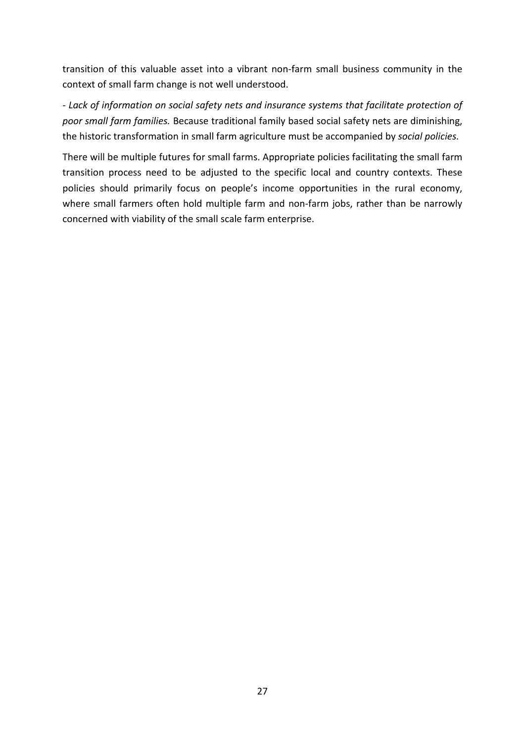transition of this valuable asset into a vibrant non-farm small business community in the context of small farm change is not well understood.

*- Lack of information on social safety nets and insurance systems that facilitate protection of poor small farm families.* Because traditional family based social safety nets are diminishing, the historic transformation in small farm agriculture must be accompanied by *social policies.* 

There will be multiple futures for small farms. Appropriate policies facilitating the small farm transition process need to be adjusted to the specific local and country contexts. These policies should primarily focus on people's income opportunities in the rural economy, where small farmers often hold multiple farm and non-farm jobs, rather than be narrowly concerned with viability of the small scale farm enterprise.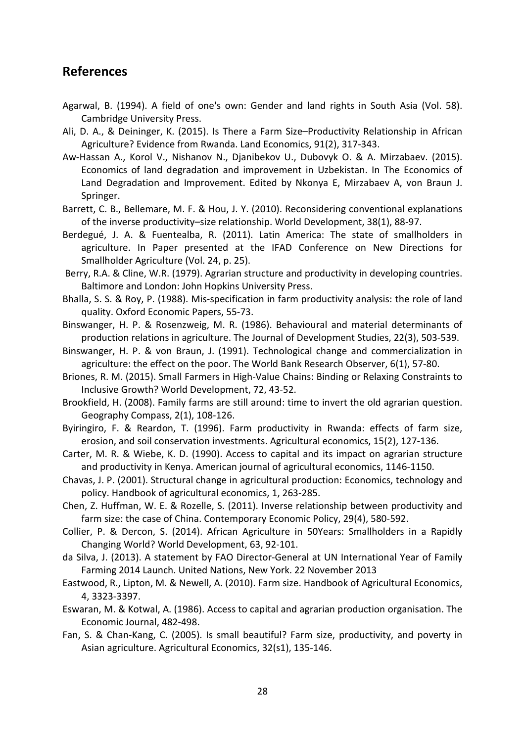### <span id="page-34-0"></span>**References**

- Agarwal, B. (1994). A field of one's own: Gender and land rights in South Asia (Vol. 58). Cambridge University Press.
- Ali, D. A., & Deininger, K. (2015). Is There a Farm Size–Productivity Relationship in African Agriculture? Evidence from Rwanda. Land Economics, 91(2), 317-343.
- Aw-Hassan A., Korol V., Nishanov N., Djanibekov U., Dubovyk O. & A. Mirzabaev. (2015). Economics of land degradation and improvement in Uzbekistan. In The Economics of Land Degradation and Improvement. Edited by Nkonya E, Mirzabaev A, von Braun J. Springer.
- Barrett, C. B., Bellemare, M. F. & Hou, J. Y. (2010). Reconsidering conventional explanations of the inverse productivity–size relationship. World Development, 38(1), 88-97.
- Berdegué, J. A. & Fuentealba, R. (2011). Latin America: The state of smallholders in agriculture. In Paper presented at the IFAD Conference on New Directions for Smallholder Agriculture (Vol. 24, p. 25).
- Berry, R.A. & Cline, W.R. (1979). Agrarian structure and productivity in developing countries. Baltimore and London: John Hopkins University Press.
- Bhalla, S. S. & Roy, P. (1988). Mis-specification in farm productivity analysis: the role of land quality. Oxford Economic Papers, 55-73.
- Binswanger, H. P. & Rosenzweig, M. R. (1986). Behavioural and material determinants of production relations in agriculture. The Journal of Development Studies, 22(3), 503-539.
- Binswanger, H. P. & von Braun, J. (1991). Technological change and commercialization in agriculture: the effect on the poor. The World Bank Research Observer, 6(1), 57-80.
- Briones, R. M. (2015). Small Farmers in High-Value Chains: Binding or Relaxing Constraints to Inclusive Growth? World Development, 72, 43-52.
- Brookfield, H. (2008). Family farms are still around: time to invert the old agrarian question. Geography Compass, 2(1), 108-126.
- Byiringiro, F. & Reardon, T. (1996). Farm productivity in Rwanda: effects of farm size, erosion, and soil conservation investments. Agricultural economics, 15(2), 127-136.
- Carter, M. R. & Wiebe, K. D. (1990). Access to capital and its impact on agrarian structure and productivity in Kenya. American journal of agricultural economics, 1146-1150.
- Chavas, J. P. (2001). Structural change in agricultural production: Economics, technology and policy. Handbook of agricultural economics, 1, 263-285.
- Chen, Z. Huffman, W. E. & Rozelle, S. (2011). Inverse relationship between productivity and farm size: the case of China. Contemporary Economic Policy, 29(4), 580-592.
- Collier, P. & Dercon, S. (2014). African Agriculture in 50Years: Smallholders in a Rapidly Changing World? World Development, 63, 92-101.
- da Silva, J. (2013). A statement by FAO Director-General at UN International Year of Family Farming 2014 Launch. United Nations, New York. 22 November 2013
- Eastwood, R., Lipton, M. & Newell, A. (2010). Farm size. Handbook of Agricultural Economics, 4, 3323-3397.
- Eswaran, M. & Kotwal, A. (1986). Access to capital and agrarian production organisation. The Economic Journal, 482-498.
- Fan, S. & Chan-Kang, C. (2005). Is small beautiful? Farm size, productivity, and poverty in Asian agriculture. Agricultural Economics, 32(s1), 135-146.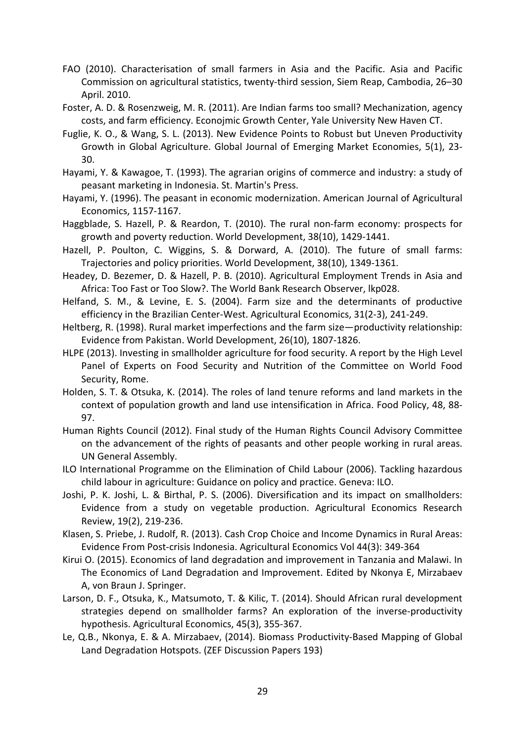- FAO (2010). Characterisation of small farmers in Asia and the Pacific. Asia and Pacific Commission on agricultural statistics, twenty-third session, Siem Reap, Cambodia, 26–30 April. 2010.
- Foster, A. D. & Rosenzweig, M. R. (2011). Are Indian farms too small? Mechanization, agency costs, and farm efficiency. Econojmic Growth Center, Yale University New Haven CT.
- Fuglie, K. O., & Wang, S. L. (2013). New Evidence Points to Robust but Uneven Productivity Growth in Global Agriculture. Global Journal of Emerging Market Economies, 5(1), 23- 30.
- Hayami, Y. & Kawagoe, T. (1993). The agrarian origins of commerce and industry: a study of peasant marketing in Indonesia. St. Martin's Press.
- Hayami, Y. (1996). The peasant in economic modernization. American Journal of Agricultural Economics, 1157-1167.
- Haggblade, S. Hazell, P. & Reardon, T. (2010). The rural non-farm economy: prospects for growth and poverty reduction. World Development, 38(10), 1429-1441.
- Hazell, P. Poulton, C. Wiggins, S. & Dorward, A. (2010). The future of small farms: Trajectories and policy priorities. World Development, 38(10), 1349-1361.
- Headey, D. Bezemer, D. & Hazell, P. B. (2010). Agricultural Employment Trends in Asia and Africa: Too Fast or Too Slow?. The World Bank Research Observer, lkp028.
- Helfand, S. M., & Levine, E. S. (2004). Farm size and the determinants of productive efficiency in the Brazilian Center-West. Agricultural Economics, 31(2-3), 241-249.
- Heltberg, R. (1998). Rural market imperfections and the farm size—productivity relationship: Evidence from Pakistan. World Development, 26(10), 1807-1826.
- HLPE (2013). Investing in smallholder agriculture for food security. A report by the High Level Panel of Experts on Food Security and Nutrition of the Committee on World Food Security, Rome.
- Holden, S. T. & Otsuka, K. (2014). The roles of land tenure reforms and land markets in the context of population growth and land use intensification in Africa. Food Policy, 48, 88- 97.
- Human Rights Council (2012). Final study of the Human Rights Council Advisory Committee on the advancement of the rights of peasants and other people working in rural areas. UN General Assembly.
- ILO International Programme on the Elimination of Child Labour (2006). Tackling hazardous child labour in agriculture: Guidance on policy and practice. Geneva: ILO.
- Joshi, P. K. Joshi, L. & Birthal, P. S. (2006). Diversification and its impact on smallholders: Evidence from a study on vegetable production. Agricultural Economics Research Review, 19(2), 219-236.
- Klasen, S. Priebe, J. Rudolf, R. (2013). Cash Crop Choice and Income Dynamics in Rural Areas: Evidence From Post-crisis Indonesia. Agricultural Economics Vol 44(3): 349-364
- Kirui O. (2015). Economics of land degradation and improvement in Tanzania and Malawi. In The Economics of Land Degradation and Improvement. Edited by Nkonya E, Mirzabaev A, von Braun J. Springer.
- Larson, D. F., Otsuka, K., Matsumoto, T. & Kilic, T. (2014). Should African rural development strategies depend on smallholder farms? An exploration of the inverse-productivity hypothesis. Agricultural Economics, 45(3), 355-367.
- Le, Q.B., Nkonya, E. & A. Mirzabaev, (2014). Biomass Productivity-Based Mapping of Global Land Degradation Hotspots. (ZEF Discussion Papers 193)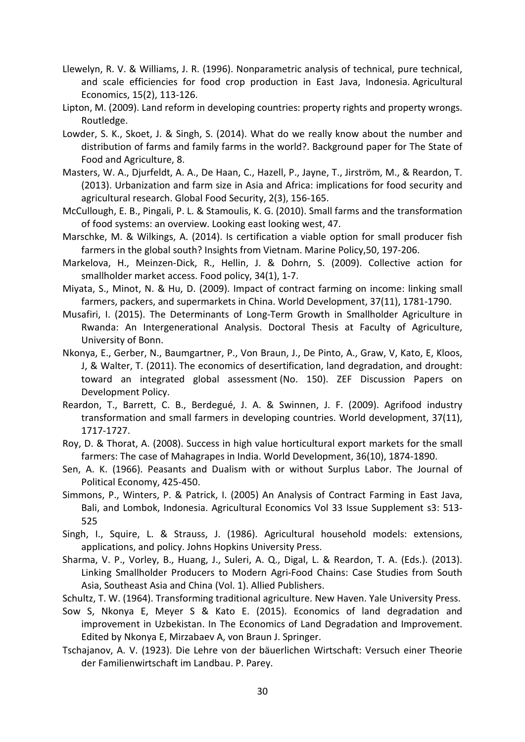- Llewelyn, R. V. & Williams, J. R. (1996). Nonparametric analysis of technical, pure technical, and scale efficiencies for food crop production in East Java, Indonesia. Agricultural Economics, 15(2), 113-126.
- Lipton, M. (2009). Land reform in developing countries: property rights and property wrongs. Routledge.
- Lowder, S. K., Skoet, J. & Singh, S. (2014). What do we really know about the number and distribution of farms and family farms in the world?. Background paper for The State of Food and Agriculture, 8.
- Masters, W. A., Djurfeldt, A. A., De Haan, C., Hazell, P., Jayne, T., Jirström, M., & Reardon, T. (2013). Urbanization and farm size in Asia and Africa: implications for food security and agricultural research. Global Food Security, 2(3), 156-165.
- McCullough, E. B., Pingali, P. L. & Stamoulis, K. G. (2010). Small farms and the transformation of food systems: an overview. Looking east looking west, 47.
- Marschke, M. & Wilkings, A. (2014). Is certification a viable option for small producer fish farmers in the global south? Insights from Vietnam. Marine Policy,50, 197-206.
- Markelova, H., Meinzen-Dick, R., Hellin, J. & Dohrn, S. (2009). Collective action for smallholder market access. Food policy, 34(1), 1-7.
- Miyata, S., Minot, N. & Hu, D. (2009). Impact of contract farming on income: linking small farmers, packers, and supermarkets in China. World Development, 37(11), 1781-1790.
- Musafiri, I. (2015). The Determinants of Long-Term Growth in Smallholder Agriculture in Rwanda: An Intergenerational Analysis. Doctoral Thesis at Faculty of Agriculture, University of Bonn.
- Nkonya, E., Gerber, N., Baumgartner, P., Von Braun, J., De Pinto, A., Graw, V, Kato, E, Kloos, J, & Walter, T. (2011). The economics of desertification, land degradation, and drought: toward an integrated global assessment (No. 150). ZEF Discussion Papers on Development Policy.
- Reardon, T., Barrett, C. B., Berdegué, J. A. & Swinnen, J. F. (2009). Agrifood industry transformation and small farmers in developing countries. World development, 37(11), 1717-1727.
- Roy, D. & Thorat, A. (2008). Success in high value horticultural export markets for the small farmers: The case of Mahagrapes in India. World Development, 36(10), 1874-1890.
- Sen, A. K. (1966). Peasants and Dualism with or without Surplus Labor. The Journal of Political Economy, 425-450.
- Simmons, P., Winters, P. & Patrick, I. (2005) An Analysis of Contract Farming in East Java, Bali, and Lombok, Indonesia. Agricultural Economics Vol 33 Issue Supplement s3: 513- 525
- Singh, I., Squire, L. & Strauss, J. (1986). Agricultural household models: extensions, applications, and policy. Johns Hopkins University Press.
- Sharma, V. P., Vorley, B., Huang, J., Suleri, A. Q., Digal, L. & Reardon, T. A. (Eds.). (2013). Linking Smallholder Producers to Modern Agri-Food Chains: Case Studies from South Asia, Southeast Asia and China (Vol. 1). Allied Publishers.
- Schultz, T. W. (1964). Transforming traditional agriculture. New Haven. Yale University Press.
- Sow S, Nkonya E, Meyer S & Kato E. (2015). Economics of land degradation and improvement in Uzbekistan. In The Economics of Land Degradation and Improvement. Edited by Nkonya E, Mirzabaev A, von Braun J. Springer.
- Tschajanov, A. V. (1923). Die Lehre von der bäuerlichen Wirtschaft: Versuch einer Theorie der Familienwirtschaft im Landbau. P. Parey.